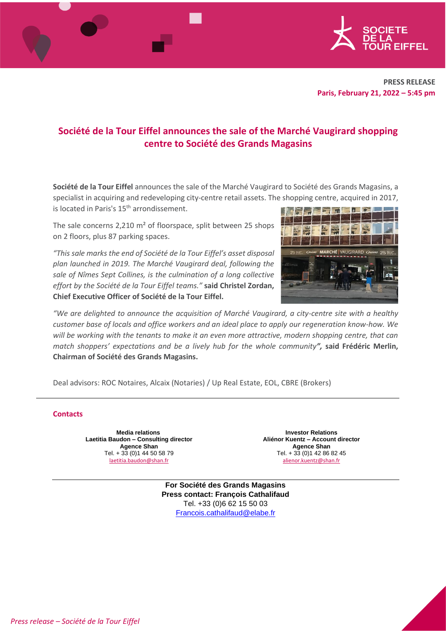

# **Société de la Tour Eiffel announces the sale of the Marché Vaugirard shopping centre to Société des Grands Magasins**

**Société de la Tour Eiffel** announces the sale of the Marché Vaugirard to Société des Grands Magasins, a specialist in acquiring and redeveloping city-centre retail assets. The shopping centre, acquired in 2017, is located in Paris's 15<sup>th</sup> arrondissement.  $\overline{\mathbf{u}}$ 

The sale concerns 2,210 m² of floorspace, split between 25 shops on 2 floors, plus 87 parking spaces.

*"This sale marks the end of Société de la Tour Eiffel's asset disposal plan launched in 2019. The Marché Vaugirard deal, following the sale of Nîmes Sept Collines, is the culmination of a long collective effort by the Société de la Tour Eiffel teams."* **said Christel Zordan, Chief Executive Officer of Société de la Tour Eiffel.**



*"We are delighted to announce the acquisition of Marché Vaugirard, a city-centre site with a healthy customer base of locals and office workers and an ideal place to apply our regeneration know-how. We will be working with the tenants to make it an even more attractive, modern shopping centre, that can match shoppers' expectations and be a lively hub for the whole community",* **said Frédéric Merlin, Chairman of Société des Grands Magasins.**

Deal advisors: ROC Notaires, Alcaix (Notaries) / Up Real Estate, EOL, CBRE (Brokers)

## **Contacts**

**Media relations Laetitia Baudon – Consulting director Agence Shan** Tel. + 33 (0)1 44 50 58 79 [laetitia.baudon@shan.fr](mailto:laetitia.baudon@shan.fr)

**Investor Relations Aliénor Kuentz – Account director Agence Shan** Tel. + 33 (0)1 42 86 82 45 [alienor.kuentz@shan.fr](mailto:alienor.kuentz@shan.fr)

**For Société des Grands Magasins Press contact: François Cathalifaud** Tel. +33 (0)6 62 15 50 03 [Francois.cathalifaud@elabe.fr](mailto:Francois.cathalifaud@elabe.fr)